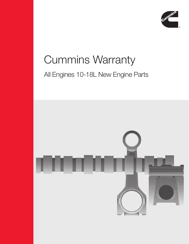

# Cummins Warranty All Engines 10-18L New Engine Parts

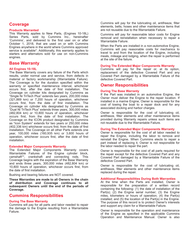# **Coverage**

#### **Products Warranted**

This Warranty applies to New Parts, (Engines 10-18L) Series Parts, sold by Cummins Inc., hereinafter 'Cummins', and delivered to the first user on or after October 1, 2018, that are used on or with Cummins Engines anywhere in the world where Cummins approved service is available\*. Additionally, this warranty applies to starters and alternators sold for use on non-Cummins engines.

# **Base Warranty**

#### **All Engines 10-18L**

The Base Warranty covers any failure of the Parts which results, under normal use and service, from defects in material or factory workmanship (Warrantable Failure). The Coverage is for the duration specified within the warranty or specified maintenance interval, whichever occurs first, after the date of first installation. The Coverage on cylinder kits designated by Cummins as "Single Ni TriTech Plus" extends two years, 200,000 miles (321,869 km) or 7,200 hours of operation, whichever occurs first, from the date of first installation. The Coverage on cylinder kits designated by Cummins as "Dual Ni TriTech Plus" extends three years, 300,000 miles (482,804 km) or 10,800 hours of operation, whichever occurs first, from the date of first installation. The Coverage on the ICON product designated by Cummins as "Icon System" extends for two years or 250,000 miles (402,336 km) whichever occurs first, from the date of first installation. The Coverage on all other Parts extends one year, 100,000 miles (160,935 km) or 3,600 hours of operation, whichever occurs first, after the date of first installation.

#### **Extended Major Components Warranty**

The Extended Major Components Warranty covers Warrantable Failures of the Engine cylinder block, camshaft\*\*, crankshaft and connecting rods. This Coverage begins with the expiration of the Base Warranty and ends three years, 300,000 miles (482,804 km) or 10,800 hours of operation, whichever occurs first, from the date of first installation.

Bushing and bearing failures are NOT covered.

**These Warranties are made to all Owners in the chain of distribution and Coverage continues to all subsequent Owners until the end of the periods of Coverage.**

# **Cummins Responsibilities**

#### **During The Base Warranty**

Cummins will pay for all parts and labor needed to repair the damage to the Engine resulting from a Warrantable Failure.

Cummins will pay for the lubricating oil, antifreeze, filter elements, belts, hoses and other maintenance items that are not reusable due to the Warrantable Failure.

Cummins will pay for reasonable labor costs for Engine removal and reinstallation when necessary to repair a Warrantable Failure.

When the Parts are installed in a non-automotive Engine, Cummins will pay reasonable costs for mechanics to travel to and from the location of the Engine, including meals, mileage and lodging, when the repair is performed at the site of the failure.

#### **During The Extended Major Components Warranty**

Cummins will pay for the repair or, at its option, replacement of the defective Covered Part and any Covered Part damaged by a Warrantable Failure of the defective Covered Part.

## **Owner Responsibilities**

#### **During The Base Warranty**

If the Part was installed in an automotive Engine, the Owner must deliver the Engine to the repair location. If installed in a marine Engine, Owner is responsible for the cost of towing the boat to a repair dock and for any associated docking and harbor charges.

Owner is responsible for the cost of lubricating oil, antifreeze, filter elements and other maintenance items provided during Warranty repairs unless such items are not reusable due to the Warrantable Failure.

#### **During The Extended Major Components Warranty**

Owner is responsible for the cost of all labor needed to repair the Engine, including the labor to remove and reinstall the Engine. When Cummins elects to repair a part instead of replacing it, Owner is not responsible for the labor needed to repair the part.

Owner is responsible for the cost of all parts required for the repair except for the defective Covered Part and any Covered Part damaged by a Warrantable Failure of the defective Covered Part.

Owner is responsible for the cost of lubricating oil, antifreeze, filter elements and other maintenance items replaced during the repair.

#### **Additional Responsibilities During Both Warranties**

At the time when the Parts are installed, Owner is responsible for the preparation of a written record containing the following: (1) the date of installation of the Part(s); (2) the Engine serial number; (3) the Engine miles, kilometers or hours of operation; (4) the Part(s) installed; and (5) the location of the Part(s) in the Engine. The purpose of this record is to protect Owner's interests and support any claim for a Warrantable Failure.

Owner is responsible for the operation and maintenance of the Engine as specified in the applicable Cummins Operation and Maintenance Manual. Owner is also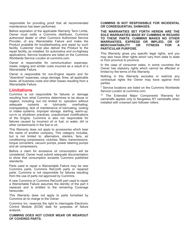responsible for providing proof that all recommended maintenance has been performed.

Before expiration of the applicable Warranty Term Limits, Owner must notify a Cummins distributor, Cummins authorized dealer or other Cummins Authorized Service Provider, of any Warrantable Failure and make the Product available for troubleshooting and repair by such facility. Customer must also deliver the Product to the repair facility, as installed, for automotive and on-highway applications. Service locations are listed on the Cummins Worldwide Service Locator at cummins.com.

Owner is responsible for communication expenses, meals, lodging and similar costs incurred as a result of a Warrantable Failure.

Owner is responsible for non-Engine repairs and for "downtime" expenses, cargo damage, fines, all applicable taxes, all business costs and other losses resulting from a Warrantable Failure.

## **Limitations**

Cummins is not responsible for failures or damage resulting from what Cummins determines to be abuse or neglect, including, but not limited to: operation without adequate coolants or lubricants; overfueling; overspeeding; lack of maintenance of lubricating, cooling or intake systems; improper storage, starting, warm-up, run-in or shutdown practices; unauthorized modifications of the Engine. Cummins is also not responsible for failures caused by incorrect oil or fuel, or water, dirt or other contaminants in the fuel or oil.

This Warranty does not apply to accessories which bear the name of another company. This category includes, but is not limited to: alternators, starters, fans, air conditioning compressors, clutches, filters, transmissions, torque converters, vacuum pumps, power steering pumps and air compressors.

Before a claim for excessive oil consumption will be considered, Owner must submit adequate documentation to show that consumption exceeds Cummins published standards.

Parts used to repair a Warrantable Failure may be new Cummins parts, Cummins ReCon® parts or repaired parts. Cummins is not responsible for failures resulting from the use of parts not approved by Cummins.

A new Cummins or Cummins ReCon® part used to repair a Warrantable Failure assumes the identity of the part it replaced and is entitled to the remaining Coverage hereunder.

This Warranty does not apply to parts furnished by Cummins at no charge to the Owner.

Cummins Inc. reserves the right to interrogate Electronic Control Module (ECM) data for purposes of failure analysis.

**CUMMINS DOES NOT COVER WEAR OR WEAROUT OF COVERED PARTS.**

#### **CUMMINS IS NOT RESPONSIBLE FOR INCIDENTAL OR CONSEQUENTIAL DAMAGES.**

**THE WARRANTIES SET FORTH HEREIN ARE THE SOLE WARRANTIES MADE BY CUMMINS IN REGARD TO THESE PARTS. CUMMINS MAKES NO OTHER WARRANTIES, EXPRESS OR IMPLIED, OR OF MERCHANTABILITY OR FITNESS FOR A PARTICULAR PURPOSE.**

This Warranty gives you specific legal rights, and you may also have other rights which vary from state to state or from province to province.

In the case of consumer sales, in some countries the Owner has statutory rights which cannot be affected or limited by the terms of this Warranty.

Nothing in this Warranty excludes or restricts any contractual rights the Owner may have against third parties.

\* Service locations are listed on the Cummins Worldwide Service Locator at cummins.com.

\*\* The Extended Major Components Warranty for camshafts applies only to flangeless NT camshafts when installed with crowned cam follower rollers.